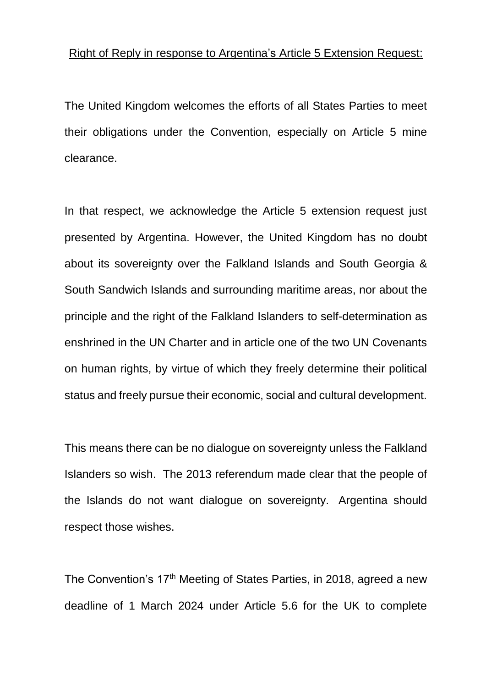## Right of Reply in response to Argentina's Article 5 Extension Request:

The United Kingdom welcomes the efforts of all States Parties to meet their obligations under the Convention, especially on Article 5 mine clearance.

In that respect, we acknowledge the Article 5 extension request just presented by Argentina. However, the United Kingdom has no doubt about its sovereignty over the Falkland Islands and South Georgia & South Sandwich Islands and surrounding maritime areas, nor about the principle and the right of the Falkland Islanders to self-determination as enshrined in the UN Charter and in article one of the two UN Covenants on human rights, by virtue of which they freely determine their political status and freely pursue their economic, social and cultural development.

This means there can be no dialogue on sovereignty unless the Falkland Islanders so wish. The 2013 referendum made clear that the people of the Islands do not want dialogue on sovereignty. Argentina should respect those wishes.

The Convention's 17<sup>th</sup> Meeting of States Parties, in 2018, agreed a new deadline of 1 March 2024 under Article 5.6 for the UK to complete